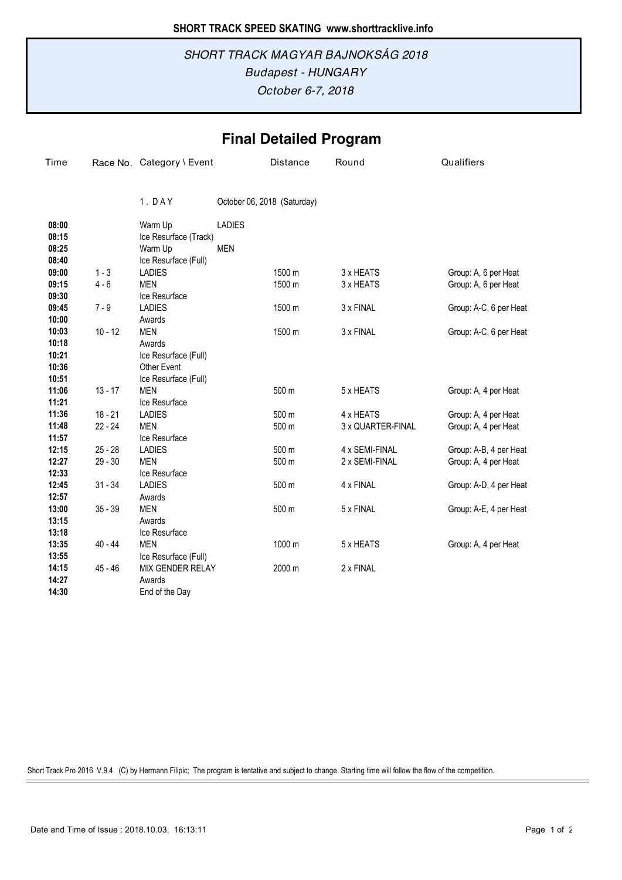## *October 6-7, 2018 Budapest - HUNGARY SHORT TRACK MAGYAR BAJNOKSÁG 2018*

## **Final Detailed Program**

| Time  |           | Race No. Category \ Event |               | Distance                    | Round             | Qualifiers             |
|-------|-----------|---------------------------|---------------|-----------------------------|-------------------|------------------------|
|       |           | 1.DAY                     |               | October 06, 2018 (Saturday) |                   |                        |
| 08:00 |           | Warm Up                   | <b>LADIES</b> |                             |                   |                        |
| 08:15 |           | Ice Resurface (Track)     |               |                             |                   |                        |
| 08:25 |           | Warm Up                   | <b>MEN</b>    |                             |                   |                        |
| 08:40 |           | Ice Resurface (Full)      |               |                             |                   |                        |
| 09:00 | $1 - 3$   | <b>LADIES</b>             |               | 1500 m                      | 3 x HEATS         | Group: A, 6 per Heat   |
| 09:15 | $4 - 6$   | <b>MEN</b>                |               | 1500 m                      | 3 x HEATS         | Group: A, 6 per Heat   |
| 09:30 |           | Ice Resurface             |               |                             |                   |                        |
| 09:45 | $7 - 9$   | <b>LADIES</b>             |               | 1500 m                      | 3 x FINAL         | Group: A-C, 6 per Heat |
| 10:00 |           | Awards                    |               |                             |                   |                        |
| 10:03 | $10 - 12$ | <b>MEN</b>                |               | 1500 m                      | 3 x FINAL         | Group: A-C, 6 per Heat |
| 10:18 |           | Awards                    |               |                             |                   |                        |
| 10:21 |           | Ice Resurface (Full)      |               |                             |                   |                        |
| 10:36 |           | <b>Other Event</b>        |               |                             |                   |                        |
| 10:51 |           | Ice Resurface (Full)      |               |                             |                   |                        |
| 11:06 | $13 - 17$ | <b>MEN</b>                |               | 500 m                       | 5 x HEATS         | Group: A, 4 per Heat   |
| 11:21 |           | Ice Resurface             |               |                             |                   |                        |
| 11:36 | $18 - 21$ | <b>LADIES</b>             |               | 500 m                       | 4 x HEATS         | Group: A, 4 per Heat   |
| 11:48 | $22 - 24$ | <b>MEN</b>                |               | 500 m                       | 3 x QUARTER-FINAL | Group: A, 4 per Heat   |
| 11:57 |           | Ice Resurface             |               |                             |                   |                        |
| 12:15 | $25 - 28$ | <b>LADIES</b>             |               | 500 m                       | 4 x SEMI-FINAL    | Group: A-B, 4 per Heat |
| 12:27 | $29 - 30$ | <b>MEN</b>                |               | 500 m                       | 2 x SEMI-FINAL    | Group: A, 4 per Heat   |
| 12:33 |           | Ice Resurface             |               |                             |                   |                        |
| 12:45 | $31 - 34$ | <b>LADIES</b>             |               | 500 m                       | 4 x FINAL         | Group: A-D, 4 per Heat |
| 12:57 |           | Awards                    |               |                             |                   |                        |
| 13:00 | $35 - 39$ | <b>MEN</b>                |               | 500 m                       | 5 x FINAL         | Group: A-E, 4 per Heat |
| 13:15 |           | Awards                    |               |                             |                   |                        |
| 13:18 |           | Ice Resurface             |               |                             |                   |                        |
| 13:35 | $40 - 44$ | <b>MEN</b>                |               | 1000 m                      | 5 x HEATS         | Group: A, 4 per Heat   |
| 13:55 |           | Ice Resurface (Full)      |               |                             |                   |                        |
| 14:15 | 45 - 46   | MIX GENDER RELAY          |               | 2000 m                      | 2 x FINAL         |                        |
| 14:27 |           | Awards                    |               |                             |                   |                        |
| 14:30 |           | End of the Day            |               |                             |                   |                        |

Short Track Pro 2016 V.9.4 (C) by Hermann Filipic; The program is tentative and subject to change. Starting time will follow the flow of the competition.